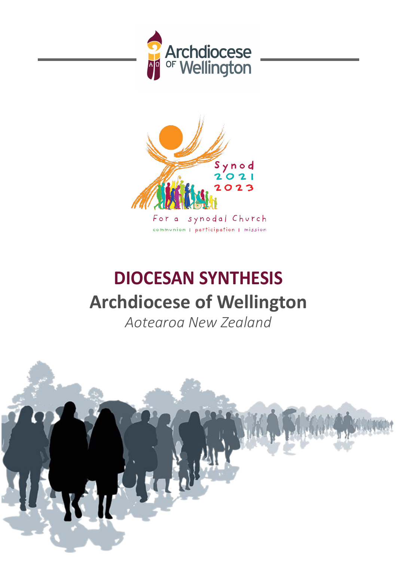



synodal Church For a communion | participation | mission

# **DIOCESAN SYNTHESIS Archdiocese of Wellington**

*Aotearoa New Zealand*

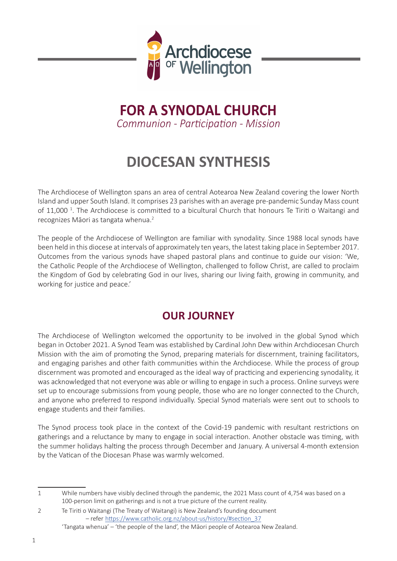

# **FOR A SYNODAL CHURCH** *Communion - Participation - Mission*

# **DIOCESAN SYNTHESIS**

The Archdiocese of Wellington spans an area of central Aotearoa New Zealand covering the lower North Island and upper South Island. It comprises 23 parishes with an average pre-pandemic Sunday Mass count of 11,000<sup>1</sup>. The Archdiocese is committed to a bicultural Church that honours Te Tiriti o Waitangi and recognizes Māori as tangata whenua.<sup>2</sup>

The people of the Archdiocese of Wellington are familiar with synodality. Since 1988 local synods have been held in this diocese at intervals of approximately ten years, the latest taking place in September 2017. Outcomes from the various synods have shaped pastoral plans and continue to guide our vision: 'We, the Catholic People of the Archdiocese of Wellington, challenged to follow Christ, are called to proclaim the Kingdom of God by celebrating God in our lives, sharing our living faith, growing in community, and working for justice and peace.'

# **OUR JOURNEY**

The Archdiocese of Wellington welcomed the opportunity to be involved in the global Synod which began in October 2021. A Synod Team was established by Cardinal John Dew within Archdiocesan Church Mission with the aim of promoting the Synod, preparing materials for discernment, training facilitators, and engaging parishes and other faith communities within the Archdiocese. While the process of group discernment was promoted and encouraged as the ideal way of practicing and experiencing synodality, it was acknowledged that not everyone was able or willing to engage in such a process. Online surveys were set up to encourage submissions from young people, those who are no longer connected to the Church, and anyone who preferred to respond individually. Special Synod materials were sent out to schools to engage students and their families.

The Synod process took place in the context of the Covid-19 pandemic with resultant restrictions on gatherings and a reluctance by many to engage in social interaction. Another obstacle was timing, with the summer holidays halting the process through December and January. A universal 4-month extension by the Vatican of the Diocesan Phase was warmly welcomed.

<sup>1</sup> While numbers have visibly declined through the pandemic, the 2021 Mass count of 4,754 was based on a 100-person limit on gatherings and is not a true picture of the current reality.

<sup>2</sup> Te Tiriti o Waitangi (The Treaty of Waitangi) is New Zealand's founding document – refer https://www.catholic.org.nz/about-us/history/#section\_37

<sup>&#</sup>x27;Tangata whenua' – 'the people of the land', the Māori people of Aotearoa New Zealand.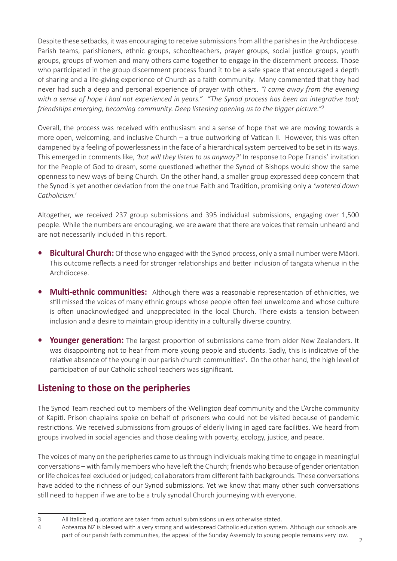Despite these setbacks, it was encouraging to receive submissions from all the parishes in the Archdiocese. Parish teams, parishioners, ethnic groups, schoolteachers, prayer groups, social justice groups, youth groups, groups of women and many others came together to engage in the discernment process. Those who participated in the group discernment process found it to be a safe space that encouraged a depth of sharing and a life-giving experience of Church as a faith community. Many commented that they had never had such a deep and personal experience of prayer with others. *"I came away from the evening with a sense of hope I had not experienced in years." "The Synod process has been an integrative tool; friendships emerging, becoming community. Deep listening opening us to the bigger picture."<sup>3</sup>*

Overall, the process was received with enthusiasm and a sense of hope that we are moving towards a more open, welcoming, and inclusive Church – a true outworking of Vatican II. However, this was often dampened by a feeling of powerlessness in the face of a hierarchical system perceived to be set in its ways. This emerged in comments like, *'but will they listen to us anyway?'* In response to Pope Francis' invitation for the People of God to dream, some questioned whether the Synod of Bishops would show the same openness to new ways of being Church. On the other hand, a smaller group expressed deep concern that the Synod is yet another deviation from the one true Faith and Tradition, promising only a *'watered down Catholicism.'*

Altogether, we received 237 group submissions and 395 individual submissions, engaging over 1,500 people. While the numbers are encouraging, we are aware that there are voices that remain unheard and are not necessarily included in this report.

- **• Bicultural Church:** Of those who engaged with the Synod process, only a small number were Māori. This outcome reflects a need for stronger relationships and better inclusion of tangata whenua in the Archdiocese.
- **• Multi-ethnic communities:** Although there was a reasonable representation of ethnicities, we still missed the voices of many ethnic groups whose people often feel unwelcome and whose culture is often unacknowledged and unappreciated in the local Church. There exists a tension between inclusion and a desire to maintain group identity in a culturally diverse country.
- **•** Younger generation: The largest proportion of submissions came from older New Zealanders. It was disappointing not to hear from more young people and students. Sadly, this is indicative of the relative absence of the young in our parish church communities<sup>4</sup>. On the other hand, the high level of participation of our Catholic school teachers was significant.

#### **Listening to those on the peripheries**

The Synod Team reached out to members of the Wellington deaf community and the L'Arche community of Kapiti. Prison chaplains spoke on behalf of prisoners who could not be visited because of pandemic restrictions. We received submissions from groups of elderly living in aged care facilities. We heard from groups involved in social agencies and those dealing with poverty, ecology, justice, and peace.

The voices of many on the peripheries came to us through individuals making time to engage in meaningful conversations – with family members who have left the Church; friends who because of gender orientation or life choices feel excluded or judged; collaborators from different faith backgrounds. These conversations have added to the richness of our Synod submissions. Yet we know that many other such conversations still need to happen if we are to be a truly synodal Church journeying with everyone.

<sup>3</sup> All italicised quotations are taken from actual submissions unless otherwise stated.

<sup>4</sup> Aotearoa NZ is blessed with a very strong and widespread Catholic education system. Although our schools are part of our parish faith communities, the appeal of the Sunday Assembly to young people remains very low.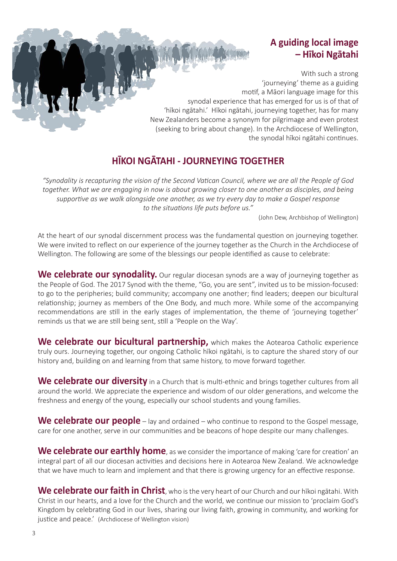### **A guiding local image – Hīkoi Ngātahi**

With such a strong 'journeying' theme as a guiding motif, a Māori language image for this synodal experience that has emerged for us is of that of 'hīkoi ngātahi.' Hīkoi ngātahi, journeying together, has for many New Zealanders become a synonym for pilgrimage and even protest (seeking to bring about change). In the Archdiocese of Wellington, the synodal hīkoi ngātahi continues.

# **HĪKOI NGĀTAHI - JOURNEYING TOGETHER**

*"Synodality is recapturing the vision of the Second Vatican Council, where we are all the People of God together. What we are engaging in now is about growing closer to one another as disciples, and being supportive as we walk alongside one another, as we try every day to make a Gospel response to the situations life puts before us."* 

(John Dew, Archbishop of Wellington)

At the heart of our synodal discernment process was the fundamental question on journeying together. We were invited to reflect on our experience of the journey together as the Church in the Archdiocese of Wellington. The following are some of the blessings our people identified as cause to celebrate:

We celebrate our synodality. Our regular diocesan synods are a way of journeying together as the People of God. The 2017 Synod with the theme, "Go, you are sent", invited us to be mission-focused: to go to the peripheries; build community; accompany one another; find leaders; deepen our bicultural relationship; journey as members of the One Body, and much more. While some of the accompanying recommendations are still in the early stages of implementation, the theme of 'journeying together' reminds us that we are still being sent, still a 'People on the Way'.

We celebrate our bicultural partnership, which makes the Aotearoa Catholic experience truly ours. Journeying together, our ongoing Catholic hīkoi ngātahi, is to capture the shared story of our history and, building on and learning from that same history, to move forward together.

We celebrate our diversity in a Church that is multi-ethnic and brings together cultures from all around the world. We appreciate the experience and wisdom of our older generations, and welcome the freshness and energy of the young, especially our school students and young families.

**We celebrate our people** – lay and ordained – who continue to respond to the Gospel message, care for one another, serve in our communities and be beacons of hope despite our many challenges.

**We celebrate our earthly home**, as we consider the importance of making 'care for creation' an integral part of all our diocesan activities and decisions here in Aotearoa New Zealand. We acknowledge that we have much to learn and implement and that there is growing urgency for an effective response.

**We celebrate our faith in Christ**, who is the very heart of our Church and our hīkoi ngātahi. With Christ in our hearts, and a love for the Church and the world, we continue our mission to 'proclaim God's Kingdom by celebrating God in our lives, sharing our living faith, growing in community, and working for justice and peace.' (Archdiocese of Wellington vision)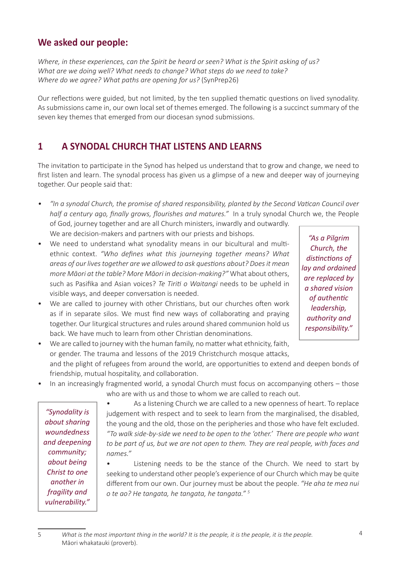#### **We asked our people:**

*Where, in these experiences, can the Spirit be heard or seen? What is the Spirit asking of us? What are we doing well? What needs to change? What steps do we need to take? Where do we agree? What paths are opening for us?* (SynPrep26)

Our reflections were guided, but not limited, by the ten supplied thematic questions on lived synodality. As submissions came in, our own local set of themes emerged. The following is a succinct summary of the seven key themes that emerged from our diocesan synod submissions.

#### **1 A SYNODAL CHURCH THAT LISTENS AND LEARNS**

The invitation to participate in the Synod has helped us understand that to grow and change, we need to first listen and learn. The synodal process has given us a glimpse of a new and deeper way of journeying together. Our people said that:

*• "In a synodal Church, the promise of shared responsibility, planted by the Second Vatican Council over half a century ago, finally grows, flourishes and matures."* In a truly synodal Church we, the People of God, journey together and are all Church ministers, inwardly and outwardly.

We are decision-makers and partners with our priests and bishops.

- We need to understand what synodality means in our bicultural and multiethnic context. *"Who defines what this journeying together means? What areas of our lives together are we allowed to ask questions about? Does it mean more Māori at the table? More Māori in decision-making?"* What about others, such as Pasifika and Asian voices? *Te Tiriti o Waitangi* needs to be upheld in visible ways, and deeper conversation is needed.
- We are called to journey with other Christians, but our churches often work as if in separate silos. We must find new ways of collaborating and praying together. Our liturgical structures and rules around shared communion hold us back. We have much to learn from other Christian denominations.

*"As a Pilgrim Church, the distinctions of lay and ordained are replaced by a shared vision of authentic leadership, authority and responsibility."*

• We are called to journey with the human family, no matter what ethnicity, faith, or gender. The trauma and lessons of the 2019 Christchurch mosque attacks,

and the plight of refugees from around the world, are opportunities to extend and deepen bonds of friendship, mutual hospitality, and collaboration.

• In an increasingly fragmented world, a synodal Church must focus on accompanying others – those who are with us and those to whom we are called to reach out.

*"Synodality is about sharing woundedness and deepening community; about being Christ to one another in fragility and vulnerability."*

As a listening Church we are called to a new openness of heart. To replace judgement with respect and to seek to learn from the marginalised, the disabled, the young and the old, those on the peripheries and those who have felt excluded. *"To walk side-by-side we need to be open to the 'other.' There are people who want to be part of us, but we are not open to them. They are real people, with faces and names."*

Listening needs to be the stance of the Church. We need to start by seeking to understand other people's experience of our Church which may be quite different from our own. Our journey must be about the people. *"He aha te mea nui o te ao? He tangata, he tangata, he tangata." <sup>5</sup>*

5 *What is the most important thing in the world? It is the people, it is the people, it is the people.*  Māori whakatauki (proverb).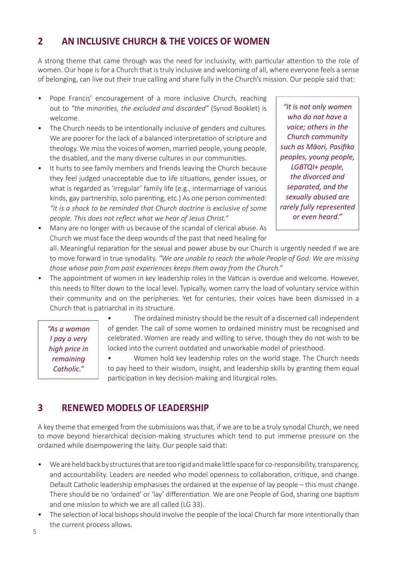#### **2 AN INCLUSIVE CHURCH & THE VOICES OF WOMEN**

A strong theme that came through was the need for inclusivity, with particular attention to the role of women. Our hope is for a Church that is truly inclusive and welcoming of all, where everyone feels a sense of belonging, can live out their true calling and share fully in the Church's mission. Our people said that:

- Pope Francis' encouragement of a more inclusive Church, reaching out to *"the minorities, the excluded and discarded"* (Synod Booklet) is welcome.
- The Church needs to be intentionally inclusive of genders and cultures. We are poorer for the lack of a balanced interpretation of scripture and theology. We miss the voices of women, married people, young people, the disabled, and the many diverse cultures in our communities.
- It hurts to see family members and friends leaving the Church because they feel judged unacceptable due to life situations, gender issues, or what is regarded as 'irregular' family life (e.g., intermarriage of various kinds, gay partnership, solo parenting, etc.) As one person commented: *"It is a shock to be reminded that Church doctrine is exclusive of some people. This does not reflect what we hear of Jesus Christ."*

*"It is not only women who do not have a voice; others in the Church community such as Māori, Pasifika peoples, young people, LGBTQI+ people, the divorced and separated, and the sexually abused are rarely fully represented or even heard."*

- Many are no longer with us because of the scandal of clerical abuse. As Church we must face the deep wounds of the past that need healing for all. Meaningful reparation for the sexual and power abuse by our Church is urgently needed if we are to move forward in true synodality. *"We are unable to reach the whole People of God. We are missing those whose pain from past experiences keeps them away from the Church."*
- The appointment of women in key leadership roles in the Vatican is overdue and welcome. However, this needs to filter down to the local level. Typically, women carry the load of voluntary service within their community and on the peripheries. Yet for centuries, their voices have been dismissed in a Church that is patriarchal in its structure.

*"As a woman I pay a very high price in remaining Catholic."*

The ordained ministry should be the result of a discerned call independent of gender. The call of some women to ordained ministry must be recognised and celebrated. Women are ready and willing to serve, though they do not wish to be locked into the current outdated and unworkable model of priesthood.

• Women hold key leadership roles on the world stage. The Church needs to pay heed to their wisdom, insight, and leadership skills by granting them equal participation in key decision-making and liturgical roles.

#### **3 RENEWED MODELS OF LEADERSHIP**

A key theme that emerged from the submissions was that, if we are to be a truly synodal Church, we need to move beyond hierarchical decision-making structures which tend to put immense pressure on the ordained while disempowering the laity. Our people said that:

- We are held back by structures that are too rigid and make little space for co-responsibility, transparency, and accountability. Leaders are needed who model openness to collaboration, critique, and change. Default Catholic leadership emphasises the ordained at the expense of lay people – this must change. There should be no 'ordained' or 'lay' differentiation. We are one People of God, sharing one baptism and one mission to which we are all called (LG 33).
- The selection of local bishops should involve the people of the local Church far more intentionally than the current process allows.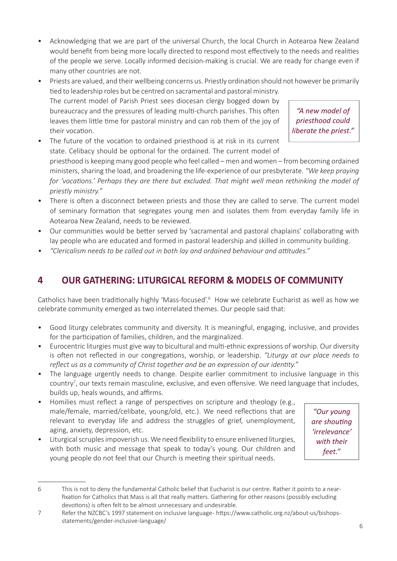- Acknowledging that we are part of the universal Church, the local Church in Aotearoa New Zealand would benefit from being more locally directed to respond most effectively to the needs and realities of the people we serve. Locally informed decision-making is crucial. We are ready for change even if many other countries are not.
- Priests are valued, and their wellbeing concerns us. Priestly ordination should not however be primarily tied to leadership roles but be centred on sacramental and pastoral ministry. The current model of Parish Priest sees diocesan clergy bogged down by

bureaucracy and the pressures of leading multi-church parishes. This often leaves them little time for pastoral ministry and can rob them of the joy of their vocation.

*"A new model of priesthood could liberate the priest."*

The future of the vocation to ordained priesthood is at risk in its current state. Celibacy should be optional for the ordained. The current model of

priesthood is keeping many good people who feel called – men and women – from becoming ordained ministers, sharing the load, and broadening the life-experience of our presbyterate. *"We keep praying for 'vocations.' Perhaps they are there but excluded. That might well mean rethinking the model of priestly ministry."*

- There is often a disconnect between priests and those they are called to serve. The current model of seminary formation that segregates young men and isolates them from everyday family life in Aotearoa New Zealand, needs to be reviewed.
- Our communities would be better served by 'sacramental and pastoral chaplains' collaborating with lay people who are educated and formed in pastoral leadership and skilled in community building.
- *• "Clericalism needs to be called out in both lay and ordained behaviour and attitudes."*

# **4 OUR GATHERING: LITURGICAL REFORM & MODELS OF COMMUNITY**

Catholics have been traditionally highly 'Mass-focused'.<sup>6</sup> How we celebrate Eucharist as well as how we celebrate community emerged as two interrelated themes. Our people said that:

- Good liturgy celebrates community and diversity. It is meaningful, engaging, inclusive, and provides for the participation of families, children, and the marginalized.
- Eurocentric liturgies must give way to bicultural and multi-ethnic expressions of worship. Our diversity is often not reflected in our congregations, worship, or leadership. *"Liturgy at our place needs to reflect us as a community of Christ together and be an expression of our identity."*
- The language urgently needs to change. Despite earlier commitment to inclusive language in this country<sup>7</sup>, our texts remain masculine, exclusive, and even offensive. We need language that includes, builds up, heals wounds, and affirms.
- Homilies must reflect a range of perspectives on scripture and theology (e.g., male/female, married/celibate, young/old, etc.). We need reflections that are relevant to everyday life and address the struggles of grief, unemployment, aging, anxiety, depression, etc.
- Liturgical scruples impoverish us. We need flexibility to ensure enlivened liturgies, with both music and message that speak to today's young. Our children and young people do not feel that our Church is meeting their spiritual needs.

*"Our young are shouting 'irrelevance' with their feet."* 

<sup>6</sup> This is not to deny the fundamental Catholic belief that Eucharist is our centre. Rather it points to a nearfixation for Catholics that Mass is all that really matters. Gathering for other reasons (possibly excluding devotions) is often felt to be almost unnecessary and undesirable.

<sup>7</sup> Refer the NZCBC's 1997 statement on inclusive language - https://www.catholic.org.nz/about-us/bishopsstatements/gender-inclusive-language/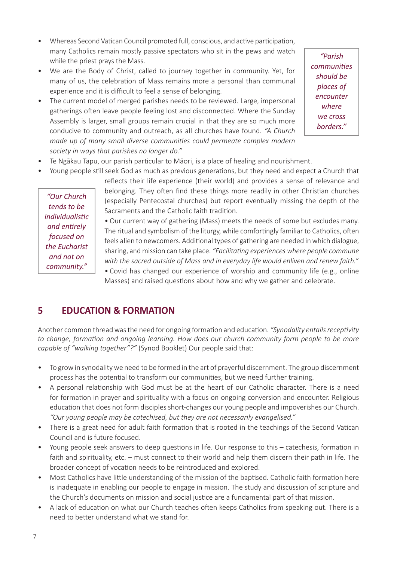- Whereas Second Vatican Council promoted full, conscious, and active participation, many Catholics remain mostly passive spectators who sit in the pews and watch while the priest prays the Mass.
- We are the Body of Christ, called to journey together in community. Yet, for many of us, the celebration of Mass remains more a personal than communal experience and it is difficult to feel a sense of belonging.
- The current model of merged parishes needs to be reviewed. Large, impersonal gatherings often leave people feeling lost and disconnected. Where the Sunday Assembly is larger, small groups remain crucial in that they are so much more conducive to community and outreach, as all churches have found. *"A Church made up of many small diverse communities could permeate complex modern society in ways that parishes no longer do."*

*"Parish communities should be places of encounter where we cross borders."* 

- Te Ngākau Tapu, our parish particular to Māori, is a place of healing and nourishment.
- Young people still seek God as much as previous generations, but they need and expect a Church that

*"Our Church tends to be individualistic and entirely focused on the Eucharist and not on community."*

reflects their life experience (their world) and provides a sense of relevance and belonging. They often find these things more readily in other Christian churches (especially Pentecostal churches) but report eventually missing the depth of the Sacraments and the Catholic faith tradition.

• Our current way of gathering (Mass) meets the needs of some but excludes many. The ritual and symbolism of the liturgy, while comfortingly familiar to Catholics, often feels alien to newcomers. Additional types of gathering are needed in which dialogue, sharing, and mission can take place. *"Facilitating experiences where people commune with the sacred outside of Mass and in everyday life would enliven and renew faith."*

• Covid has changed our experience of worship and community life (e.g., online Masses) and raised questions about how and why we gather and celebrate.

#### **5 EDUCATION & FORMATION**

Another common thread was the need for ongoing formation and education. *"Synodality entails receptivity to change, formation and ongoing learning. How does our church community form people to be more capable of "walking together"?"* (Synod Booklet) Our people said that:

- To grow in synodality we need to be formed in the art of prayerful discernment. The group discernment process has the potential to transform our communities, but we need further training.
- A personal relationship with God must be at the heart of our Catholic character. There is a need for formation in prayer and spirituality with a focus on ongoing conversion and encounter. Religious education that does not form disciples short-changes our young people and impoverishes our Church. *"Our young people may be catechised, but they are not necessarily evangelised."*
- There is a great need for adult faith formation that is rooted in the teachings of the Second Vatican Council and is future focused.
- Young people seek answers to deep questions in life. Our response to this catechesis, formation in faith and spirituality, etc. – must connect to their world and help them discern their path in life. The broader concept of vocation needs to be reintroduced and explored.
- Most Catholics have little understanding of the mission of the baptised. Catholic faith formation here is inadequate in enabling our people to engage in mission. The study and discussion of scripture and the Church's documents on mission and social justice are a fundamental part of that mission.
- A lack of education on what our Church teaches often keeps Catholics from speaking out. There is a need to better understand what we stand for.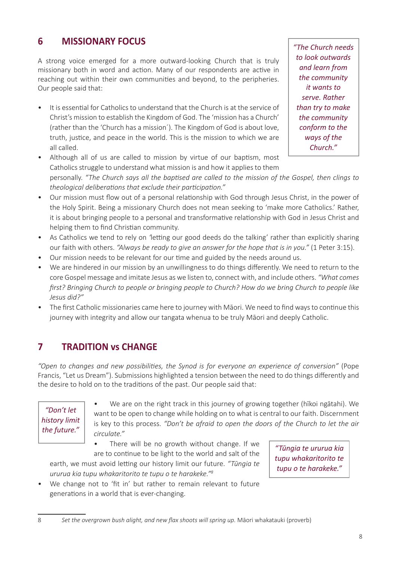## **6 MISSIONARY FOCUS**

A strong voice emerged for a more outward-looking Church that is truly missionary both in word and action. Many of our respondents are active in reaching out within their own communities and beyond, to the peripheries. Our people said that:

• It is essential for Catholics to understand that the Church is at the service of Christ's mission to establish the Kingdom of God. The 'mission has a Church' (rather than the 'Church has a mission´). The Kingdom of God is about love, truth, justice, and peace in the world. This is the mission to which we are all called.

*"The Church needs to look outwards and learn from the community it wants to serve. Rather than try to make the community conform to the ways of the Church."*

• Although all of us are called to mission by virtue of our baptism, most Catholics struggle to understand what mission is and how it applies to them

personally. *"The Church says all the baptised are called to the mission of the Gospel, then clings to theological deliberations that exclude their participation."*

- Our mission must flow out of a personal relationship with God through Jesus Christ, in the power of the Holy Spirit. Being a missionary Church does not mean seeking to 'make more Catholics.' Rather, it is about bringing people to a personal and transformative relationship with God in Jesus Christ and helping them to find Christian community.
- As Catholics we tend to rely on *'*letting our good deeds do the talking' rather than explicitly sharing our faith with others. *"Always be ready to give an answer for the hope that is in you."* (1 Peter 3:15).
- Our mission needs to be relevant for our time and guided by the needs around us.
- We are hindered in our mission by an unwillingness to do things differently. We need to return to the core Gospel message and imitate Jesus as we listen to, connect with, and include others. *"What comes first? Bringing Church to people or bringing people to Church? How do we bring Church to people like Jesus did?"*
- The first Catholic missionaries came here to journey with Māori. We need to find ways to continue this journey with integrity and allow our tangata whenua to be truly Māori and deeply Catholic.

### **7 TRADITION vs CHANGE**

*"Open to changes and new possibilities, the Synod is for everyone an experience of conversion"* (Pope Francis, "Let us Dream"). Submissions highlighted a tension between the need to do things differently and the desire to hold on to the traditions of the past. Our people said that:

*"Don't let history limit the future."*

• We are on the right track in this journey of growing together (hīkoi ngātahi). We want to be open to change while holding on to what is central to our faith. Discernment is key to this process. *"Don't be afraid to open the doors of the Church to let the air circulate."*

There will be no growth without change. If we are to continue to be light to the world and salt of the

earth, we must avoid letting our history limit our future. *"Tūngia te ururua kia tupu whakaritorito te tupu o te harakeke."<sup>8</sup>*

*"Tūngia te ururua kia tupu whakaritorito te tupu o te harakeke."* 

• We change not to 'fit in' but rather to remain relevant to future generations in a world that is ever-changing.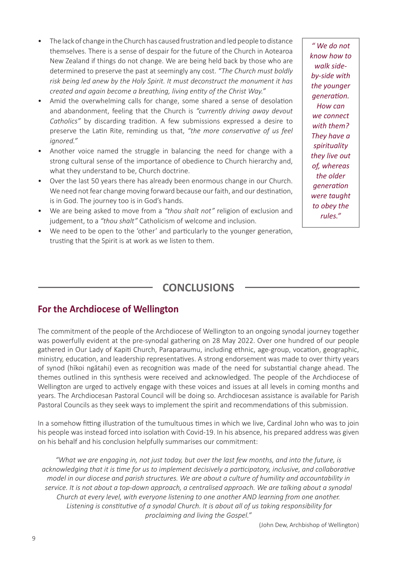- The lack of change in the Church has caused frustration and led people to distance themselves. There is a sense of despair for the future of the Church in Aotearoa New Zealand if things do not change. We are being held back by those who are determined to preserve the past at seemingly any cost. *"The Church must boldly risk being led anew by the Holy Spirit. It must deconstruct the monument it has created and again become a breathing, living entity of the Christ Way."*
- Amid the overwhelming calls for change, some shared a sense of desolation and abandonment, feeling that the Church is *"currently driving away devout Catholics"* by discarding tradition. A few submissions expressed a desire to preserve the Latin Rite, reminding us that, *"the more conservative of us feel ignored."*
- Another voice named the struggle in balancing the need for change with a strong cultural sense of the importance of obedience to Church hierarchy and, what they understand to be, Church doctrine.
- Over the last 50 years there has already been enormous change in our Church. We need not fear change moving forward because our faith, and our destination, is in God. The journey too is in God's hands.
- We are being asked to move from a *"thou shalt not"* religion of exclusion and judgement, to a *"thou shalt"* Catholicism of welcome and inclusion.
- We need to be open to the 'other' and particularly to the younger generation, trusting that the Spirit is at work as we listen to them.

*" We do not know how to walk sideby-side with the younger generation. How can we connect with them? They have a spirituality they live out of, whereas the older generation were taught to obey the rules."* 

#### **CONCLUSIONS**

#### **For the Archdiocese of Wellington**

The commitment of the people of the Archdiocese of Wellington to an ongoing synodal journey together was powerfully evident at the pre-synodal gathering on 28 May 2022. Over one hundred of our people gathered in Our Lady of Kapiti Church, Paraparaumu, including ethnic, age-group, vocation, geographic, ministry, education, and leadership representatives. A strong endorsement was made to over thirty years of synod (hīkoi ngātahi) even as recognition was made of the need for substantial change ahead. The themes outlined in this synthesis were received and acknowledged. The people of the Archdiocese of Wellington are urged to actively engage with these voices and issues at all levels in coming months and years. The Archdiocesan Pastoral Council will be doing so. Archdiocesan assistance is available for Parish Pastoral Councils as they seek ways to implement the spirit and recommendations of this submission.

In a somehow fitting illustration of the tumultuous times in which we live, Cardinal John who was to join his people was instead forced into isolation with Covid-19. In his absence, his prepared address was given on his behalf and his conclusion helpfully summarises our commitment:

*"What we are engaging in, not just today, but over the last few months, and into the future, is acknowledging that it is time for us to implement decisively a participatory, inclusive, and collaborative model in our diocese and parish structures. We are about a culture of humility and accountability in service. It is not about a top-down approach, a centralised approach. We are talking about a synodal Church at every level, with everyone listening to one another AND learning from one another. Listening is constitutive of a synodal Church. It is about all of us taking responsibility for proclaiming and living the Gospel."*

(John Dew, Archbishop of Wellington)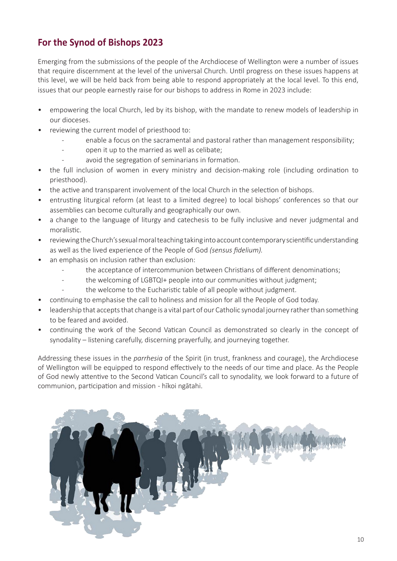## **For the Synod of Bishops 2023**

Emerging from the submissions of the people of the Archdiocese of Wellington were a number of issues that require discernment at the level of the universal Church. Until progress on these issues happens at this level, we will be held back from being able to respond appropriately at the local level. To this end, issues that our people earnestly raise for our bishops to address in Rome in 2023 include:

- empowering the local Church, led by its bishop, with the mandate to renew models of leadership in our dioceses.
- reviewing the current model of priesthood to:
	- enable a focus on the sacramental and pastoral rather than management responsibility;
	- open it up to the married as well as celibate:
	- avoid the segregation of seminarians in formation.
- the full inclusion of women in every ministry and decision-making role (including ordination to priesthood).
- the active and transparent involvement of the local Church in the selection of bishops.
- entrusting liturgical reform (at least to a limited degree) to local bishops' conferences so that our assemblies can become culturally and geographically our own.
- a change to the language of liturgy and catechesis to be fully inclusive and never judgmental and moralistic.
- reviewing the Church's sexual moral teaching taking into account contemporary scientific understanding as well as the lived experience of the People of God *(sensus fidelium).*
- an emphasis on inclusion rather than exclusion:
	- the acceptance of intercommunion between Christians of different denominations;
	- the welcoming of LGBTQI+ people into our communities without judgment;
	- the welcome to the Eucharistic table of all people without judgment.
- continuing to emphasise the call to holiness and mission for all the People of God today.
- leadership that accepts that change is a vital part of our Catholic synodal journey rather than something to be feared and avoided.
- continuing the work of the Second Vatican Council as demonstrated so clearly in the concept of synodality – listening carefully, discerning prayerfully, and journeying together.

Addressing these issues in the *parrhesia* of the Spirit (in trust, frankness and courage), the Archdiocese of Wellington will be equipped to respond effectively to the needs of our time and place. As the People of God newly attentive to the Second Vatican Council's call to synodality, we look forward to a future of communion, participation and mission - hīkoi ngātahi.